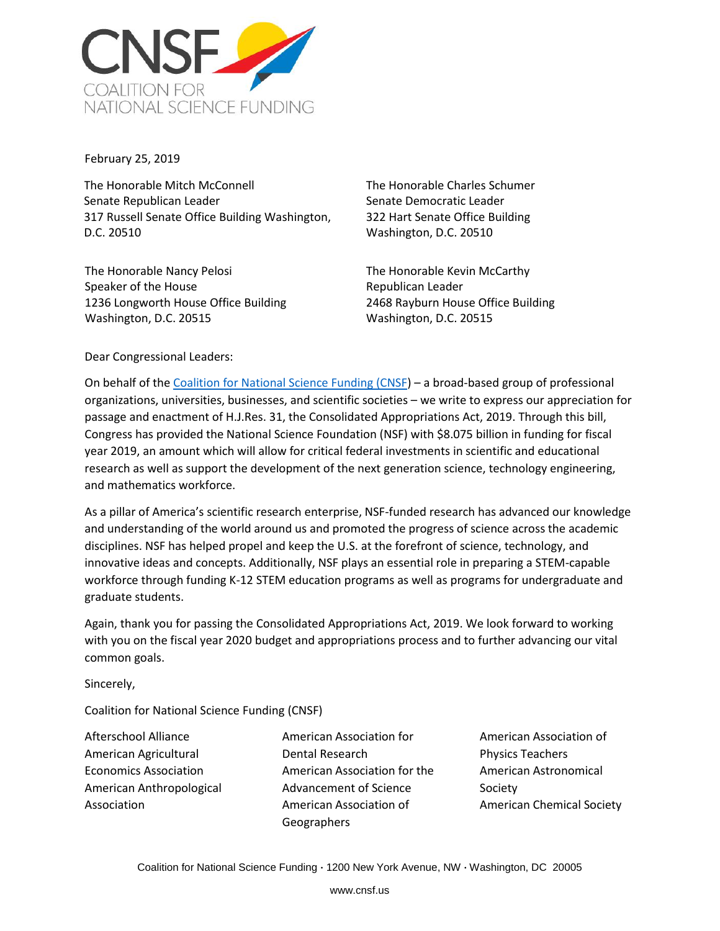

February 25, 2019

The Honorable Mitch McConnell Senate Republican Leader 317 Russell Senate Office Building Washington, D.C. 20510

The Honorable Nancy Pelosi Speaker of the House 1236 Longworth House Office Building Washington, D.C. 20515

The Honorable Charles Schumer Senate Democratic Leader 322 Hart Senate Office Building Washington, D.C. 20510

The Honorable Kevin McCarthy Republican Leader 2468 Rayburn House Office Building Washington, D.C. 20515

Dear Congressional Leaders:

On behalf of the [Coalition for National Science Funding \(CNSF\)](https://cnsf.us/) – a broad-based group of professional organizations, universities, businesses, and scientific societies – we write to express our appreciation for passage and enactment of H.J.Res. 31, the Consolidated Appropriations Act, 2019. Through this bill, Congress has provided the National Science Foundation (NSF) with \$8.075 billion in funding for fiscal year 2019, an amount which will allow for critical federal investments in scientific and educational research as well as support the development of the next generation science, technology engineering, and mathematics workforce.

As a pillar of America's scientific research enterprise, NSF-funded research has advanced our knowledge and understanding of the world around us and promoted the progress of science across the academic disciplines. NSF has helped propel and keep the U.S. at the forefront of science, technology, and innovative ideas and concepts. Additionally, NSF plays an essential role in preparing a STEM-capable workforce through funding K-12 STEM education programs as well as programs for undergraduate and graduate students.

Again, thank you for passing the Consolidated Appropriations Act, 2019. We look forward to working with you on the fiscal year 2020 budget and appropriations process and to further advancing our vital common goals.

Sincerely,

Coalition for National Science Funding (CNSF)

Afterschool Alliance American Agricultural Economics Association American Anthropological Association

American Association for Dental Research American Association for the Advancement of Science American Association of **Geographers** 

American Association of Physics Teachers American Astronomical Society American Chemical Society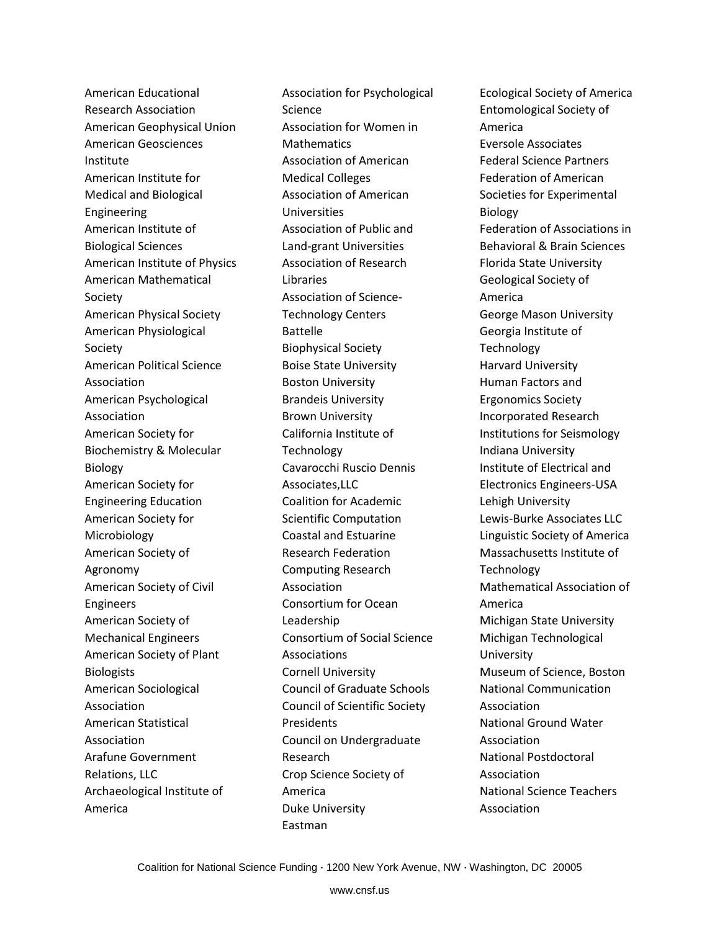American Educational Research Association American Geophysical Union American Geosciences Institute American Institute for Medical and Biological Engineering American Institute of Biological Sciences American Institute of Physics American Mathematical Society American Physical Society American Physiological Society American Political Science Association American Psychological Association American Society for Biochemistry & Molecular Biology American Society for Engineering Education American Society for Microbiology American Society of Agronomy American Society of Civil Engineers American Society of Mechanical Engineers American Society of Plant Biologists American Sociological Association American Statistical Association Arafune Government Relations, LLC Archaeological Institute of America

Association for Psychological Science Association for Women in **Mathematics** Association of American Medical Colleges Association of American Universities Association of Public and Land-grant Universities Association of Research Libraries Association of Science-Technology Centers Battelle Biophysical Society Boise State University Boston University Brandeis University Brown University California Institute of Technology Cavarocchi Ruscio Dennis Associates,LLC Coalition for Academic Scientific Computation Coastal and Estuarine Research Federation Computing Research Association Consortium for Ocean Leadership Consortium of Social Science Associations Cornell University Council of Graduate Schools Council of Scientific Society **Presidents** Council on Undergraduate Research Crop Science Society of America Duke University Eastman

Ecological Society of America Entomological Society of America Eversole Associates Federal Science Partners Federation of American Societies for Experimental Biology Federation of Associations in Behavioral & Brain Sciences Florida State University Geological Society of America George Mason University Georgia Institute of Technology Harvard University Human Factors and Ergonomics Society Incorporated Research Institutions for Seismology Indiana University Institute of Electrical and Electronics Engineers-USA Lehigh University Lewis-Burke Associates LLC Linguistic Society of America Massachusetts Institute of **Technology** Mathematical Association of America Michigan State University Michigan Technological University Museum of Science, Boston National Communication Association National Ground Water Association National Postdoctoral Association National Science Teachers Association